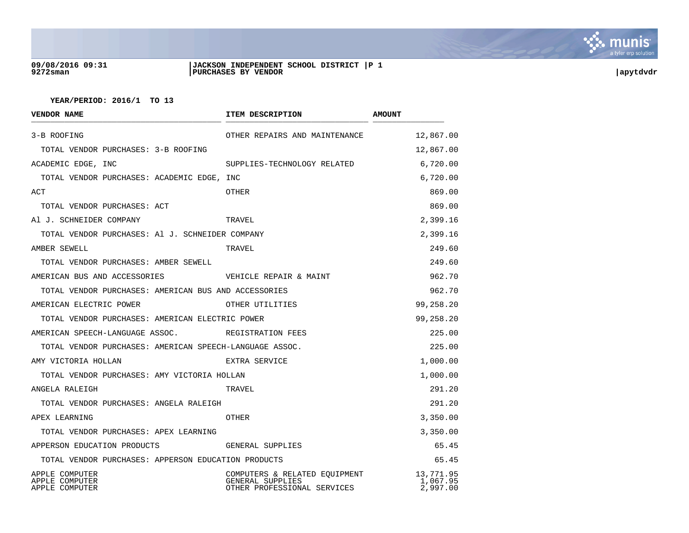

### **09/08/2016 09:31 |JACKSON INDEPENDENT SCHOOL DISTRICT |P 1 9272sman |PURCHASES BY VENDOR |apytdvdr**

| <b>VENDOR NAME</b>                                      | ITEM DESCRIPTION                                                                 | <b>AMOUNT</b>                     |
|---------------------------------------------------------|----------------------------------------------------------------------------------|-----------------------------------|
| 3-B ROOFING                                             | OTHER REPAIRS AND MAINTENANCE                                                    | 12,867.00                         |
| TOTAL VENDOR PURCHASES: 3-B ROOFING                     |                                                                                  | 12,867.00                         |
| ACADEMIC EDGE, INC                                      | SUPPLIES-TECHNOLOGY RELATED                                                      | 6,720.00                          |
| TOTAL VENDOR PURCHASES: ACADEMIC EDGE, INC              |                                                                                  | 6,720.00                          |
| ACT                                                     | OTHER                                                                            | 869.00                            |
| TOTAL VENDOR PURCHASES: ACT                             |                                                                                  | 869.00                            |
| Al J. SCHNEIDER COMPANY                                 | TRAVEL                                                                           | 2,399.16                          |
| TOTAL VENDOR PURCHASES: Al J. SCHNEIDER COMPANY         |                                                                                  | 2,399.16                          |
| AMBER SEWELL                                            | TRAVEL                                                                           | 249.60                            |
| TOTAL VENDOR PURCHASES: AMBER SEWELL                    |                                                                                  | 249.60                            |
| AMERICAN BUS AND ACCESSORIES                            | VEHICLE REPAIR & MAINT                                                           | 962.70                            |
| TOTAL VENDOR PURCHASES: AMERICAN BUS AND ACCESSORIES    |                                                                                  | 962.70                            |
| AMERICAN ELECTRIC POWER                                 | OTHER UTILITIES                                                                  | 99,258.20                         |
| TOTAL VENDOR PURCHASES: AMERICAN ELECTRIC POWER         |                                                                                  | 99,258.20                         |
| AMERICAN SPEECH-LANGUAGE ASSOC.                         | REGISTRATION FEES                                                                | 225.00                            |
| TOTAL VENDOR PURCHASES: AMERICAN SPEECH-LANGUAGE ASSOC. |                                                                                  | 225.00                            |
| AMY VICTORIA HOLLAN                                     | EXTRA SERVICE                                                                    | 1,000.00                          |
| TOTAL VENDOR PURCHASES: AMY VICTORIA HOLLAN             |                                                                                  | 1,000.00                          |
| ANGELA RALEIGH                                          | TRAVEL                                                                           | 291.20                            |
| TOTAL VENDOR PURCHASES: ANGELA RALEIGH                  |                                                                                  | 291.20                            |
| APEX LEARNING                                           | OTHER                                                                            | 3,350.00                          |
| TOTAL VENDOR PURCHASES: APEX LEARNING                   |                                                                                  | 3,350.00                          |
| APPERSON EDUCATION PRODUCTS                             | GENERAL SUPPLIES                                                                 | 65.45                             |
| TOTAL VENDOR PURCHASES: APPERSON EDUCATION PRODUCTS     |                                                                                  | 65.45                             |
| APPLE COMPUTER<br>APPLE COMPUTER<br>APPLE COMPUTER      | COMPUTERS & RELATED EQUIPMENT<br>GENERAL SUPPLIES<br>OTHER PROFESSIONAL SERVICES | 13,771.95<br>1,067.95<br>2,997.00 |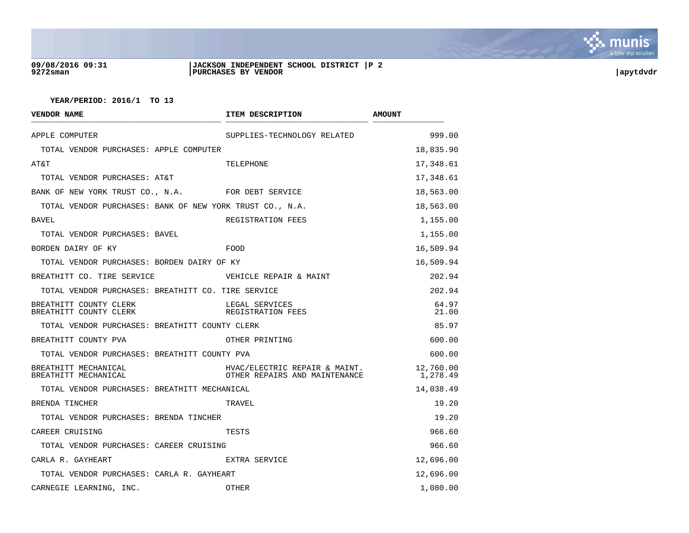

# **09/08/2016 09:31 |JACKSON INDEPENDENT SCHOOL DISTRICT |P 2 9272sman |PURCHASES BY VENDOR |apytdvdr**

| <b>VENDOR NAME</b>                                       | ITEM DESCRIPTION                                               | <b>AMOUNT</b>         |
|----------------------------------------------------------|----------------------------------------------------------------|-----------------------|
| APPLE COMPUTER                                           | SUPPLIES-TECHNOLOGY RELATED                                    | 999.00                |
| TOTAL VENDOR PURCHASES: APPLE COMPUTER                   |                                                                | 18,835.90             |
| AT&T                                                     | TELEPHONE                                                      | 17,348.61             |
| TOTAL VENDOR PURCHASES: AT&T                             |                                                                | 17,348.61             |
| BANK OF NEW YORK TRUST CO., N.A.                         | FOR DEBT SERVICE                                               | 18,563.00             |
| TOTAL VENDOR PURCHASES: BANK OF NEW YORK TRUST CO., N.A. |                                                                | 18,563.00             |
| BAVEL                                                    | REGISTRATION FEES                                              | 1,155.00              |
| TOTAL VENDOR PURCHASES: BAVEL                            |                                                                | 1,155.00              |
| BORDEN DAIRY OF KY                                       | FOOD                                                           | 16,509.94             |
| TOTAL VENDOR PURCHASES: BORDEN DAIRY OF KY               |                                                                | 16,509.94             |
| BREATHITT CO. TIRE SERVICE                               | VEHICLE REPAIR & MAINT                                         | 202.94                |
| TOTAL VENDOR PURCHASES: BREATHITT CO. TIRE SERVICE       |                                                                | 202.94                |
| BREATHITT COUNTY CLERK<br>BREATHITT COUNTY CLERK         | LEGAL SERVICES<br>REGISTRATION FEES                            | 64.97<br>21.00        |
| TOTAL VENDOR PURCHASES: BREATHITT COUNTY CLERK           |                                                                | 85.97                 |
| BREATHITT COUNTY PVA                                     | OTHER PRINTING                                                 | 600.00                |
| TOTAL VENDOR PURCHASES: BREATHITT COUNTY PVA             |                                                                | 600.00                |
| BREATHITT MECHANICAL<br>BREATHITT MECHANICAL             | HVAC/ELECTRIC REPAIR & MAINT.<br>OTHER REPAIRS AND MAINTENANCE | 12,760.00<br>1,278.49 |
| TOTAL VENDOR PURCHASES: BREATHITT MECHANICAL             |                                                                | 14,038.49             |
| BRENDA TINCHER                                           | TRAVEL                                                         | 19.20                 |
| TOTAL VENDOR PURCHASES: BRENDA TINCHER                   |                                                                | 19.20                 |
| CAREER CRUISING                                          | TESTS                                                          | 966.60                |
| TOTAL VENDOR PURCHASES: CAREER CRUISING                  |                                                                | 966.60                |
| CARLA R. GAYHEART                                        | EXTRA SERVICE                                                  | 12,696.00             |
| TOTAL VENDOR PURCHASES: CARLA R. GAYHEART                |                                                                | 12,696.00             |
| CARNEGIE LEARNING, INC.                                  | OTHER                                                          | 1,080.00              |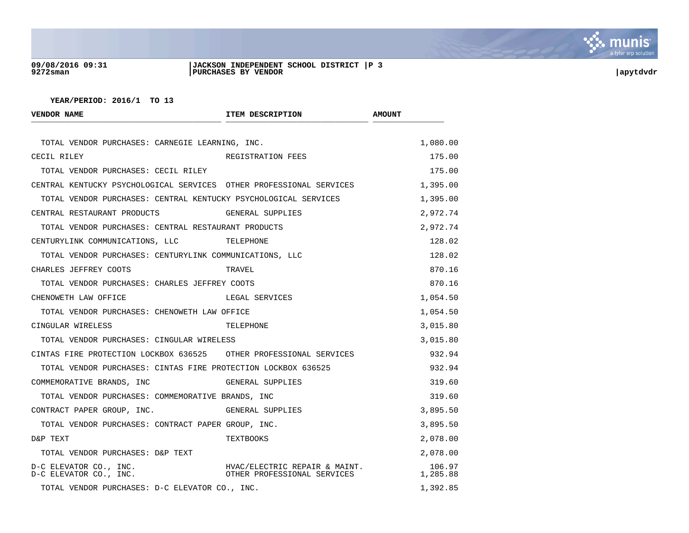

# **09/08/2016 09:31 |JACKSON INDEPENDENT SCHOOL DISTRICT |P 3 9272sman |PURCHASES BY VENDOR |apytdvdr**

| VENDOR NAME                                                         | ITEM DESCRIPTION                                                                             | <b>AMOUNT</b>      |
|---------------------------------------------------------------------|----------------------------------------------------------------------------------------------|--------------------|
| TOTAL VENDOR PURCHASES: CARNEGIE LEARNING, INC.                     |                                                                                              | 1,080.00           |
| CECIL RILEY                                                         | REGISTRATION FEES                                                                            | 175.00             |
| TOTAL VENDOR PURCHASES: CECIL RILEY                                 |                                                                                              | 175.00             |
| CENTRAL KENTUCKY PSYCHOLOGICAL SERVICES OTHER PROFESSIONAL SERVICES |                                                                                              | 1,395.00           |
| TOTAL VENDOR PURCHASES: CENTRAL KENTUCKY PSYCHOLOGICAL SERVICES     |                                                                                              | 1,395.00           |
| CENTRAL RESTAURANT PRODUCTS                                         | GENERAL SUPPLIES                                                                             | 2,972.74           |
| TOTAL VENDOR PURCHASES: CENTRAL RESTAURANT PRODUCTS                 |                                                                                              | 2,972.74           |
| CENTURYLINK COMMUNICATIONS, LLC                                     | TELEPHONE                                                                                    | 128.02             |
| TOTAL VENDOR PURCHASES: CENTURYLINK COMMUNICATIONS, LLC             |                                                                                              | 128.02             |
| CHARLES JEFFREY COOTS                                               | TRAVEL                                                                                       | 870.16             |
| TOTAL VENDOR PURCHASES: CHARLES JEFFREY COOTS                       |                                                                                              | 870.16             |
| CHENOWETH LAW OFFICE                                                | LEGAL SERVICES                                                                               | 1,054.50           |
| TOTAL VENDOR PURCHASES: CHENOWETH LAW OFFICE                        |                                                                                              | 1,054.50           |
| CINGULAR WIRELESS                                                   | TELEPHONE                                                                                    | 3,015.80           |
| TOTAL VENDOR PURCHASES: CINGULAR WIRELESS                           |                                                                                              | 3,015.80           |
| CINTAS FIRE PROTECTION LOCKBOX 636525 OTHER PROFESSIONAL SERVICES   |                                                                                              | 932.94             |
| TOTAL VENDOR PURCHASES: CINTAS FIRE PROTECTION LOCKBOX 636525       |                                                                                              | 932.94             |
| COMMEMORATIVE BRANDS, INC                                           | GENERAL SUPPLIES                                                                             | 319.60             |
| TOTAL VENDOR PURCHASES: COMMEMORATIVE BRANDS, INC                   |                                                                                              | 319.60             |
| CONTRACT PAPER GROUP, INC.                                          | GENERAL SUPPLIES                                                                             | 3,895.50           |
| TOTAL VENDOR PURCHASES: CONTRACT PAPER GROUP, INC.                  |                                                                                              | 3,895.50           |
| D&P TEXT                                                            | TEXTBOOKS                                                                                    | 2,078.00           |
| TOTAL VENDOR PURCHASES: D&P TEXT                                    |                                                                                              | 2,078.00           |
| D-C ELEVATOR CO., INC.<br>D-C ELEVATOR CO., INC.                    | HVAC/ELECTRIC REPAIR & MAINT.<br>HVAC/ELECTRIC REPAIR & MAINI<br>OTHER PROFESSIONAL SERVICES | 106.97<br>1,285.88 |
| TOTAL VENDOR PURCHASES: D-C ELEVATOR CO., INC.                      |                                                                                              | 1,392.85           |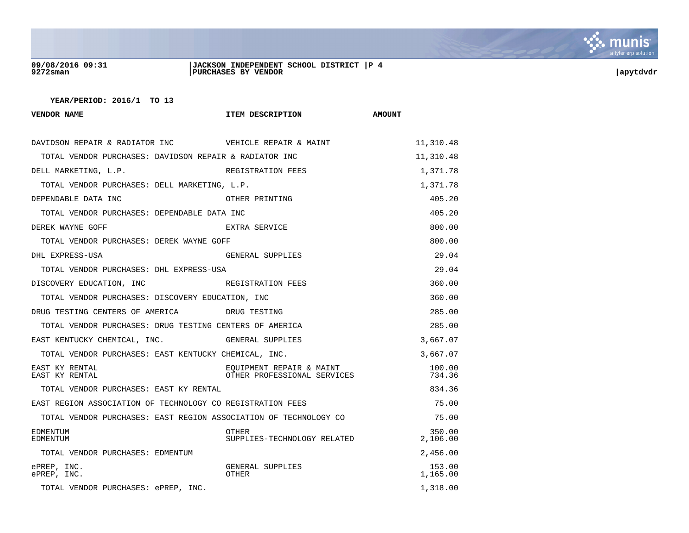

# **09/08/2016 09:31 |JACKSON INDEPENDENT SCHOOL DISTRICT |P 4 9272sman |PURCHASES BY VENDOR |apytdvdr**

| <b>VENDOR NAME</b>                                               | ITEM DESCRIPTION                                        | <b>AMOUNT</b>      |
|------------------------------------------------------------------|---------------------------------------------------------|--------------------|
| DAVIDSON REPAIR & RADIATOR INC WEHICLE REPAIR & MAINT            |                                                         | 11,310.48          |
| TOTAL VENDOR PURCHASES: DAVIDSON REPAIR & RADIATOR INC           |                                                         | 11,310.48          |
| DELL MARKETING, L.P.                                             | REGISTRATION FEES                                       | 1,371.78           |
| TOTAL VENDOR PURCHASES: DELL MARKETING, L.P.                     |                                                         | 1,371.78           |
| DEPENDABLE DATA INC                                              | OTHER PRINTING                                          | 405.20             |
| TOTAL VENDOR PURCHASES: DEPENDABLE DATA INC                      |                                                         | 405.20             |
| DEREK WAYNE GOFF                                                 | EXTRA SERVICE                                           | 800.00             |
| TOTAL VENDOR PURCHASES: DEREK WAYNE GOFF                         |                                                         | 800.00             |
| DHL EXPRESS-USA                                                  | GENERAL SUPPLIES                                        | 29.04              |
| TOTAL VENDOR PURCHASES: DHL EXPRESS-USA                          |                                                         | 29.04              |
| DISCOVERY EDUCATION, INC                                         | REGISTRATION FEES                                       | 360.00             |
| TOTAL VENDOR PURCHASES: DISCOVERY EDUCATION, INC                 |                                                         | 360.00             |
| DRUG TESTING CENTERS OF AMERICA DRUG TESTING                     |                                                         | 285.00             |
| TOTAL VENDOR PURCHASES: DRUG TESTING CENTERS OF AMERICA          |                                                         | 285.00             |
| EAST KENTUCKY CHEMICAL, INC.                                     | GENERAL SUPPLIES                                        | 3,667.07           |
| TOTAL VENDOR PURCHASES: EAST KENTUCKY CHEMICAL, INC.             |                                                         | 3,667.07           |
| EAST KY RENTAL<br>EAST KY RENTAL                                 | EOUIPMENT REPAIR & MAINT<br>OTHER PROFESSIONAL SERVICES | 100.00<br>734.36   |
| TOTAL VENDOR PURCHASES: EAST KY RENTAL                           |                                                         | 834.36             |
| EAST REGION ASSOCIATION OF TECHNOLOGY CO REGISTRATION FEES       |                                                         | 75.00              |
| TOTAL VENDOR PURCHASES: EAST REGION ASSOCIATION OF TECHNOLOGY CO |                                                         | 75.00              |
| <b>EDMENTUM</b><br><b>EDMENTUM</b>                               | OTHER<br>SUPPLIES-TECHNOLOGY RELATED                    | 350.00<br>2,106.00 |
| TOTAL VENDOR PURCHASES: EDMENTUM                                 |                                                         | 2,456.00           |
| ePREP, INC.<br>ePREP, INC.                                       | GENERAL SUPPLIES<br>OTHER                               | 153.00<br>1,165.00 |
| TOTAL VENDOR PURCHASES: ePREP, INC.                              |                                                         | 1,318.00           |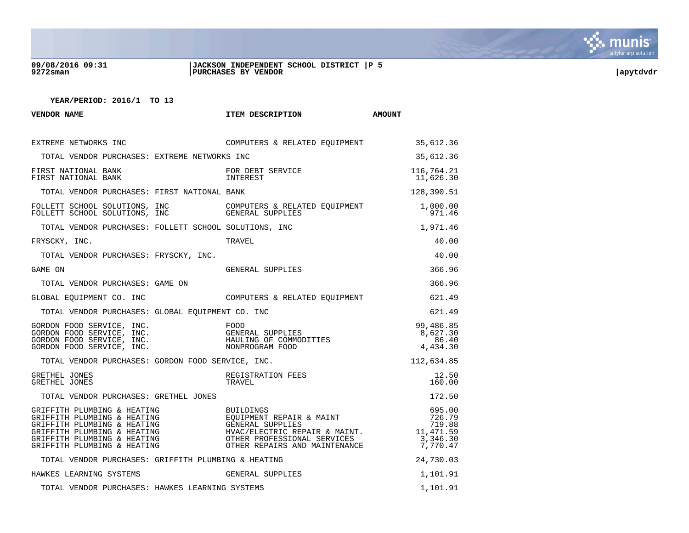

## **09/08/2016 09:31 |JACKSON INDEPENDENT SCHOOL DISTRICT |P 5 9272sman |PURCHASES BY VENDOR |apytdvdr**

| <b>VENDOR NAME</b>                                                                                                                                                                     | ITEM DESCRIPTION                                                                                                                                                          | <b>AMOUNT</b>                                                                 |
|----------------------------------------------------------------------------------------------------------------------------------------------------------------------------------------|---------------------------------------------------------------------------------------------------------------------------------------------------------------------------|-------------------------------------------------------------------------------|
| EXTREME NETWORKS INC                                                                                                                                                                   | COMPUTERS & RELATED EQUIPMENT                                                                                                                                             | 35,612.36                                                                     |
| TOTAL VENDOR PURCHASES: EXTREME NETWORKS INC                                                                                                                                           |                                                                                                                                                                           | 35,612.36                                                                     |
| FIRST NATIONAL BANK<br>FIRST NATIONAL BANK                                                                                                                                             | FOR DEBT SERVICE<br>INTEREST                                                                                                                                              | 116,764.21<br>11,626.30                                                       |
| TOTAL VENDOR PURCHASES: FIRST NATIONAL BANK                                                                                                                                            |                                                                                                                                                                           | 128,390.51                                                                    |
|                                                                                                                                                                                        |                                                                                                                                                                           | 1,000.00<br>971.46                                                            |
| TOTAL VENDOR PURCHASES: FOLLETT SCHOOL SOLUTIONS, INC                                                                                                                                  |                                                                                                                                                                           | 1,971.46                                                                      |
| FRYSCKY, INC.                                                                                                                                                                          | TRAVEL                                                                                                                                                                    | 40.00                                                                         |
| TOTAL VENDOR PURCHASES: FRYSCKY, INC.                                                                                                                                                  |                                                                                                                                                                           | 40.00                                                                         |
| GAME ON                                                                                                                                                                                | GENERAL SUPPLIES                                                                                                                                                          | 366.96                                                                        |
| TOTAL VENDOR PURCHASES: GAME ON                                                                                                                                                        |                                                                                                                                                                           | 366.96                                                                        |
| GLOBAL EOUIPMENT CO. INC                                                                                                                                                               | COMPUTERS & RELATED EQUIPMENT                                                                                                                                             | 621.49                                                                        |
| TOTAL VENDOR PURCHASES: GLOBAL EOUIPMENT CO. INC                                                                                                                                       |                                                                                                                                                                           | 621.49                                                                        |
|                                                                                                                                                                                        |                                                                                                                                                                           | 99,486.85<br>8,627.30<br>86.40<br>4,434.30                                    |
| TOTAL VENDOR PURCHASES: GORDON FOOD SERVICE, INC.                                                                                                                                      |                                                                                                                                                                           | 112,634.85                                                                    |
| GRETHEL JONES<br>GRETHEL JONES                                                                                                                                                         | REGISTRATION FEES<br>TRAVEL                                                                                                                                               | 12.50<br>160.00                                                               |
| TOTAL VENDOR PURCHASES: GRETHEL JONES                                                                                                                                                  |                                                                                                                                                                           | 172.50                                                                        |
| GRIFFITH PLUMBING & HEATING<br>GRIFFITH PLUMBING & HEATING<br>GRIFFITH PLUMBING & HEATING<br>GRIFFITH PLUMBING & HEATING<br>GRIFFITH PLUMBING & HEATING<br>GRIFFITH PLUMBING & HEATING | BUILDINGS<br>BUILPINGS<br>EQUIPMENT REPAIR & MAINT<br>GENERAL SUPPLIES<br>HVAC/ELECTRIC REPAIR & MAINT.<br>OTHER REPAIRS AND MAINTENANCE<br>OTHER REPAIRS AND MAINTENANCE | 695.00<br>726.79<br>719.88<br>11,471.59<br>$\frac{3}{2}$ , 346.30<br>7,770.47 |
| TOTAL VENDOR PURCHASES: GRIFFITH PLUMBING & HEATING                                                                                                                                    |                                                                                                                                                                           | 24,730.03                                                                     |
| HAWKES LEARNING SYSTEMS                                                                                                                                                                | GENERAL SUPPLIES                                                                                                                                                          | 1,101.91                                                                      |
| TOTAL VENDOR PURCHASES: HAWKES LEARNING SYSTEMS                                                                                                                                        |                                                                                                                                                                           | 1,101.91                                                                      |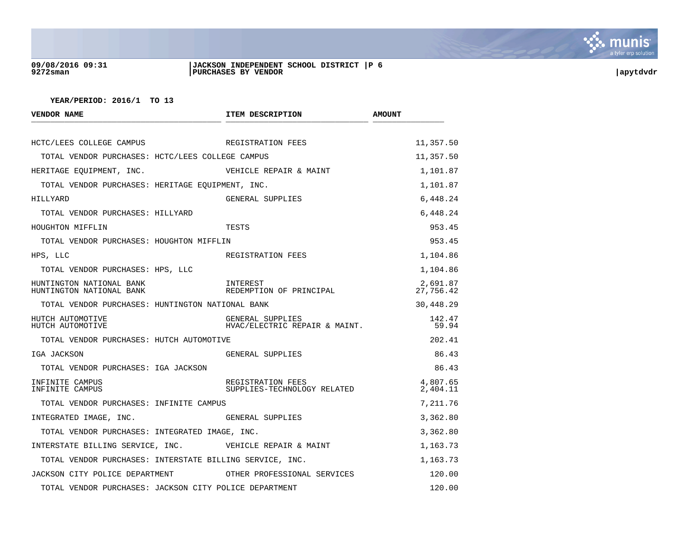

# **09/08/2016 09:31 |JACKSON INDEPENDENT SCHOOL DISTRICT |P 6 9272sman |PURCHASES BY VENDOR |apytdvdr**

| <b>VENDOR NAME</b>                                       | ITEM DESCRIPTION                                  | <b>AMOUNT</b>         |
|----------------------------------------------------------|---------------------------------------------------|-----------------------|
| HCTC/LEES COLLEGE CAMPUS                                 | REGISTRATION FEES                                 | 11,357.50             |
|                                                          |                                                   |                       |
| TOTAL VENDOR PURCHASES: HCTC/LEES COLLEGE CAMPUS         |                                                   | 11,357.50             |
| HERITAGE EOUIPMENT, INC.                                 | VEHICLE REPAIR & MAINT                            | 1,101.87              |
| TOTAL VENDOR PURCHASES: HERITAGE EQUIPMENT, INC.         |                                                   | 1,101.87              |
| HILLYARD                                                 | GENERAL SUPPLIES                                  | 6,448.24              |
| TOTAL VENDOR PURCHASES: HILLYARD                         |                                                   | 6,448.24              |
| HOUGHTON MIFFLIN                                         | TESTS                                             | 953.45                |
| TOTAL VENDOR PURCHASES: HOUGHTON MIFFLIN                 |                                                   | 953.45                |
| HPS, LLC                                                 | REGISTRATION FEES                                 | 1,104.86              |
| TOTAL VENDOR PURCHASES: HPS, LLC                         |                                                   | 1,104.86              |
| HUNTINGTON NATIONAL BANK<br>HUNTINGTON NATIONAL BANK     | INTEREST<br>REDEMPTION OF PRINCIPAL               | 2,691.87<br>27,756.42 |
| TOTAL VENDOR PURCHASES: HUNTINGTON NATIONAL BANK         |                                                   | 30,448.29             |
| HUTCH AUTOMOTIVE<br>HUTCH AUTOMOTIVE                     | GENERAL SUPPLIES<br>HVAC/ELECTRIC REPAIR & MAINT. | 142.47<br>59.94       |
| TOTAL VENDOR PURCHASES: HUTCH AUTOMOTIVE                 |                                                   | 202.41                |
| IGA JACKSON                                              | GENERAL SUPPLIES                                  | 86.43                 |
| TOTAL VENDOR PURCHASES: IGA JACKSON                      |                                                   | 86.43                 |
| INFINITE CAMPUS<br>INFINITE CAMPUS                       | REGISTRATION FEES<br>SUPPLIES-TECHNOLOGY RELATED  | 4,807.65<br>2,404.11  |
| TOTAL VENDOR PURCHASES: INFINITE CAMPUS                  |                                                   | 7,211.76              |
| INTEGRATED IMAGE, INC.                                   | GENERAL SUPPLIES                                  | 3,362.80              |
| TOTAL VENDOR PURCHASES: INTEGRATED IMAGE, INC.           |                                                   | 3,362.80              |
| INTERSTATE BILLING SERVICE, INC. WEHICLE REPAIR & MAINT  |                                                   | 1,163.73              |
| TOTAL VENDOR PURCHASES: INTERSTATE BILLING SERVICE, INC. |                                                   | 1,163.73              |
| JACKSON CITY POLICE DEPARTMENT                           | OTHER PROFESSIONAL SERVICES                       | 120.00                |
| TOTAL VENDOR PURCHASES: JACKSON CITY POLICE DEPARTMENT   |                                                   | 120.00                |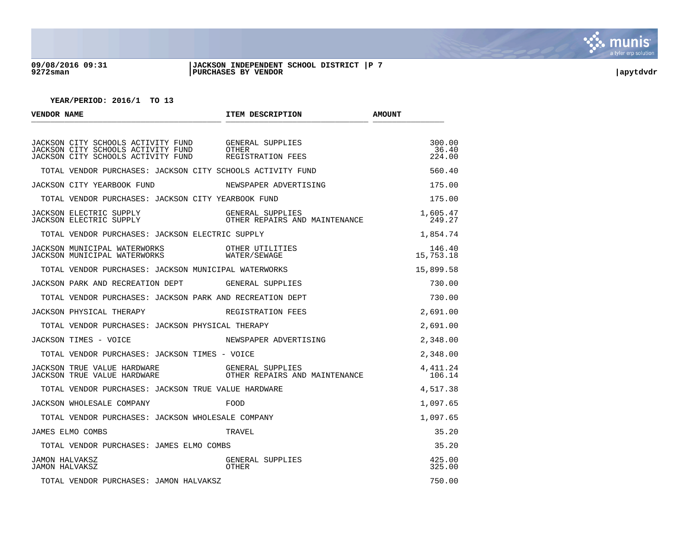

#### **09/08/2016 09:31 |JACKSON INDEPENDENT SCHOOL DISTRICT |P 7 9272sman |PURCHASES BY VENDOR |apytdvdr**

| VENDOR NAME                                                                                                                                       | ITEM DESCRIPTION                                  | <b>AMOUNT</b>             |
|---------------------------------------------------------------------------------------------------------------------------------------------------|---------------------------------------------------|---------------------------|
| JACKSON CITY SCHOOLS ACTIVITY FUND GENERAL SUPPLIES<br>JACKSON CITY SCHOOLS ACTIVITY FUND<br>JACKSON CITY SCHOOLS ACTIVITY FUND REGISTRATION FEES | OTHER                                             | 300.00<br>36.40<br>224.00 |
| TOTAL VENDOR PURCHASES: JACKSON CITY SCHOOLS ACTIVITY FUND                                                                                        |                                                   | 560.40                    |
| JACKSON CITY YEARBOOK FUND                                                                                                                        | NEWSPAPER ADVERTISING                             | 175.00                    |
| TOTAL VENDOR PURCHASES: JACKSON CITY YEARBOOK FUND                                                                                                |                                                   | 175.00                    |
|                                                                                                                                                   | OTHER REPAIRS AND MAINTENANCE                     | 1,605.47<br>249.27        |
| TOTAL VENDOR PURCHASES: JACKSON ELECTRIC SUPPLY                                                                                                   |                                                   | 1,854.74                  |
| JACKSON MUNICIPAL WATERWORKS OTHER UTILITIES<br>JACKSON MUNICIPAL WATERWORKS WATER/SEWAGE                                                         |                                                   | 146.40<br>15,753.18       |
| TOTAL VENDOR PURCHASES: JACKSON MUNICIPAL WATERWORKS                                                                                              |                                                   | 15,899.58                 |
| JACKSON PARK AND RECREATION DEPT GENERAL SUPPLIES                                                                                                 |                                                   | 730.00                    |
| TOTAL VENDOR PURCHASES: JACKSON PARK AND RECREATION DEPT                                                                                          |                                                   | 730.00                    |
| JACKSON PHYSICAL THERAPY THERES REGISTRATION FEES                                                                                                 |                                                   | 2,691.00                  |
| TOTAL VENDOR PURCHASES: JACKSON PHYSICAL THERAPY                                                                                                  |                                                   | 2,691.00                  |
| JACKSON TIMES - VOICE                                                                                                                             | NEWSPAPER ADVERTISING                             | 2,348.00                  |
| TOTAL VENDOR PURCHASES: JACKSON TIMES - VOICE                                                                                                     |                                                   | 2,348.00                  |
| JACKSON TRUE VALUE HARDWARE<br><b>JACKSON TRUE VALUE HARDWARE</b>                                                                                 | GENERAL SUPPLIES<br>OTHER REPAIRS AND MAINTENANCE | 4, 411.24<br>106.14       |
| TOTAL VENDOR PURCHASES: JACKSON TRUE VALUE HARDWARE                                                                                               |                                                   | 4,517.38                  |
| JACKSON WHOLESALE COMPANY                                                                                                                         | FOOD                                              | 1,097.65                  |
| TOTAL VENDOR PURCHASES: JACKSON WHOLESALE COMPANY                                                                                                 |                                                   | 1,097.65                  |
| JAMES ELMO COMBS                                                                                                                                  | TRAVEL                                            | 35.20                     |
| TOTAL VENDOR PURCHASES: JAMES ELMO COMBS                                                                                                          |                                                   | 35.20                     |
| <b>JAMON HALVAKSZ</b><br><b>JAMON HALVAKSZ</b>                                                                                                    | GENERAL SUPPLIES<br>OTHER                         | 425.00<br>325.00          |
| TOTAL VENDOR PURCHASES: JAMON HALVAKSZ                                                                                                            |                                                   | 750.00                    |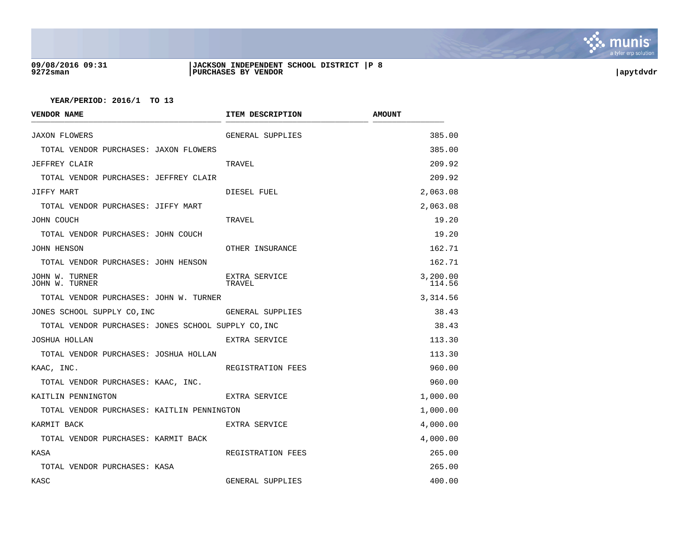

# **09/08/2016 09:31 |JACKSON INDEPENDENT SCHOOL DISTRICT |P 8 9272sman |PURCHASES BY VENDOR |apytdvdr**

| <b>VENDOR NAME</b>                                  | ITEM DESCRIPTION        | <b>AMOUNT</b>      |
|-----------------------------------------------------|-------------------------|--------------------|
| <b>JAXON FLOWERS</b>                                | GENERAL SUPPLIES        | 385.00             |
| TOTAL VENDOR PURCHASES: JAXON FLOWERS               |                         | 385.00             |
| JEFFREY CLAIR                                       | TRAVEL                  | 209.92             |
| TOTAL VENDOR PURCHASES: JEFFREY CLAIR               |                         | 209.92             |
| JIFFY MART                                          | DIESEL FUEL             | 2,063.08           |
| TOTAL VENDOR PURCHASES: JIFFY MART                  |                         | 2,063.08           |
| JOHN COUCH                                          | TRAVEL                  | 19.20              |
| TOTAL VENDOR PURCHASES: JOHN COUCH                  |                         | 19.20              |
| JOHN HENSON                                         | OTHER INSURANCE         | 162.71             |
| TOTAL VENDOR PURCHASES: JOHN HENSON                 |                         | 162.71             |
| JOHN W. TURNER<br>JOHN W. TURNER                    | EXTRA SERVICE<br>TRAVEL | 3,200.00<br>114.56 |
| TOTAL VENDOR PURCHASES: JOHN W. TURNER              |                         | 3,314.56           |
| JONES SCHOOL SUPPLY CO, INC                         | GENERAL SUPPLIES        | 38.43              |
| TOTAL VENDOR PURCHASES: JONES SCHOOL SUPPLY CO, INC |                         | 38.43              |
| JOSHUA HOLLAN                                       | EXTRA SERVICE           | 113.30             |
| TOTAL VENDOR PURCHASES: JOSHUA HOLLAN               |                         | 113.30             |
| KAAC, INC.                                          | REGISTRATION FEES       | 960.00             |
| TOTAL VENDOR PURCHASES: KAAC, INC.                  |                         | 960.00             |
| KAITLIN PENNINGTON                                  | EXTRA SERVICE           | 1,000.00           |
| TOTAL VENDOR PURCHASES: KAITLIN PENNINGTON          |                         | 1,000.00           |
| KARMIT BACK                                         | EXTRA SERVICE           | 4,000.00           |
| TOTAL VENDOR PURCHASES: KARMIT BACK                 |                         | 4,000.00           |
| KASA                                                | REGISTRATION FEES       | 265.00             |
| TOTAL VENDOR PURCHASES: KASA                        |                         | 265.00             |
| KASC                                                | GENERAL SUPPLIES        | 400.00             |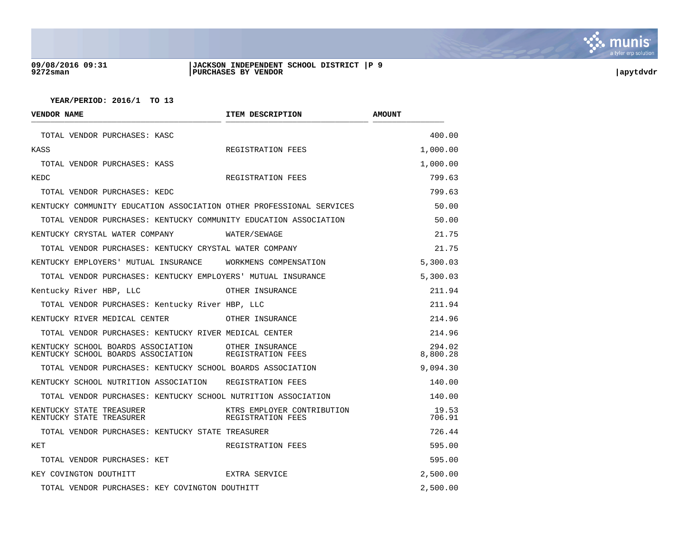

# **09/08/2016 09:31 |JACKSON INDEPENDENT SCHOOL DISTRICT |P 9 9272sman |PURCHASES BY VENDOR |apytdvdr**

| <b>VENDOR NAME</b>                                                       | ITEM DESCRIPTION                                | <b>AMOUNT</b>      |
|--------------------------------------------------------------------------|-------------------------------------------------|--------------------|
| TOTAL VENDOR PURCHASES: KASC                                             |                                                 | 400.00             |
| KASS                                                                     | REGISTRATION FEES                               | 1,000.00           |
| TOTAL VENDOR PURCHASES: KASS                                             |                                                 | 1,000.00           |
| KEDC                                                                     | REGISTRATION FEES                               | 799.63             |
| TOTAL VENDOR PURCHASES: KEDC                                             |                                                 | 799.63             |
| KENTUCKY COMMUNITY EDUCATION ASSOCIATION OTHER PROFESSIONAL SERVICES     |                                                 | 50.00              |
| TOTAL VENDOR PURCHASES: KENTUCKY COMMUNITY EDUCATION ASSOCIATION         |                                                 | 50.00              |
| KENTUCKY CRYSTAL WATER COMPANY                                           | WATER/SEWAGE                                    | 21.75              |
| TOTAL VENDOR PURCHASES: KENTUCKY CRYSTAL WATER COMPANY                   |                                                 | 21.75              |
| KENTUCKY EMPLOYERS' MUTUAL INSURANCE                                     | WORKMENS COMPENSATION                           | 5,300.03           |
| TOTAL VENDOR PURCHASES: KENTUCKY EMPLOYERS' MUTUAL INSURANCE             |                                                 | 5,300.03           |
| Kentucky River HBP, LLC                                                  | OTHER INSURANCE                                 | 211.94             |
| TOTAL VENDOR PURCHASES: Kentucky River HBP, LLC                          |                                                 | 211.94             |
| KENTUCKY RIVER MEDICAL CENTER                                            | OTHER INSURANCE                                 | 214.96             |
| TOTAL VENDOR PURCHASES: KENTUCKY RIVER MEDICAL CENTER                    |                                                 | 214.96             |
| KENTUCKY SCHOOL BOARDS ASSOCIATION<br>KENTUCKY SCHOOL BOARDS ASSOCIATION | OTHER INSURANCE<br>REGISTRATION FEES            | 294.02<br>8,800.28 |
| TOTAL VENDOR PURCHASES: KENTUCKY SCHOOL BOARDS ASSOCIATION               |                                                 | 9,094.30           |
| KENTUCKY SCHOOL NUTRITION ASSOCIATION REGISTRATION FEES                  |                                                 | 140.00             |
| TOTAL VENDOR PURCHASES: KENTUCKY SCHOOL NUTRITION ASSOCIATION            |                                                 | 140.00             |
| KENTUCKY STATE TREASURER<br>KENTUCKY STATE TREASURER                     | KTRS EMPLOYER CONTRIBUTION<br>REGISTRATION FEES | 19.53<br>706.91    |
| TOTAL VENDOR PURCHASES: KENTUCKY STATE TREASURER                         |                                                 | 726.44             |
| KET                                                                      | REGISTRATION FEES                               | 595.00             |
| TOTAL VENDOR PURCHASES: KET                                              |                                                 | 595.00             |
| KEY COVINGTON DOUTHITT                                                   | EXTRA SERVICE                                   | 2,500.00           |
| TOTAL VENDOR PURCHASES: KEY COVINGTON DOUTHITT                           |                                                 | 2,500.00           |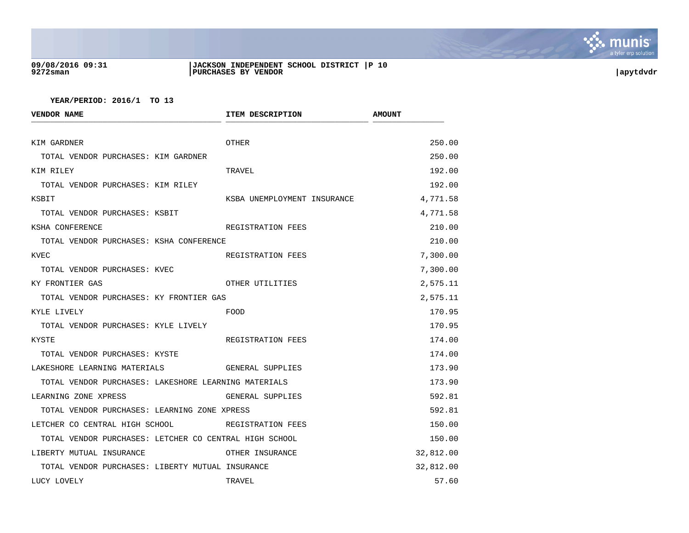

# **09/08/2016 09:31 |JACKSON INDEPENDENT SCHOOL DISTRICT |P 10 9272sman |PURCHASES BY VENDOR |apytdvdr**

| <b>VENDOR NAME</b>                                     | ITEM DESCRIPTION            | <b>AMOUNT</b> |
|--------------------------------------------------------|-----------------------------|---------------|
| KIM GARDNER                                            | <b>OTHER</b>                | 250.00        |
| TOTAL VENDOR PURCHASES: KIM GARDNER                    |                             | 250.00        |
| KIM RILEY                                              | TRAVEL                      | 192.00        |
| TOTAL VENDOR PURCHASES: KIM RILEY                      |                             | 192.00        |
| KSBIT                                                  | KSBA UNEMPLOYMENT INSURANCE | 4,771.58      |
| TOTAL VENDOR PURCHASES: KSBIT                          |                             | 4,771.58      |
| KSHA CONFERENCE                                        | REGISTRATION FEES           | 210.00        |
| TOTAL VENDOR PURCHASES: KSHA CONFERENCE                |                             | 210.00        |
| KVEC                                                   | REGISTRATION FEES           | 7,300.00      |
| TOTAL VENDOR PURCHASES: KVEC                           |                             | 7,300.00      |
| KY FRONTIER GAS                                        | OTHER UTILITIES             | 2,575.11      |
| TOTAL VENDOR PURCHASES: KY FRONTIER GAS                |                             | 2,575.11      |
| KYLE LIVELY                                            | FOOD                        | 170.95        |
| TOTAL VENDOR PURCHASES: KYLE LIVELY                    |                             | 170.95        |
| KYSTE                                                  | REGISTRATION FEES           | 174.00        |
| TOTAL VENDOR PURCHASES: KYSTE                          |                             | 174.00        |
| LAKESHORE LEARNING MATERIALS                           | GENERAL SUPPLIES            | 173.90        |
| TOTAL VENDOR PURCHASES: LAKESHORE LEARNING MATERIALS   |                             | 173.90        |
| LEARNING ZONE XPRESS                                   | GENERAL SUPPLIES            | 592.81        |
| TOTAL VENDOR PURCHASES: LEARNING ZONE XPRESS           |                             | 592.81        |
| LETCHER CO CENTRAL HIGH SCHOOL                         | REGISTRATION FEES           | 150.00        |
| TOTAL VENDOR PURCHASES: LETCHER CO CENTRAL HIGH SCHOOL |                             | 150.00        |
| LIBERTY MUTUAL INSURANCE                               | OTHER INSURANCE             | 32,812.00     |
| TOTAL VENDOR PURCHASES: LIBERTY MUTUAL INSURANCE       |                             | 32,812.00     |
| LUCY LOVELY                                            | TRAVEL                      | 57.60         |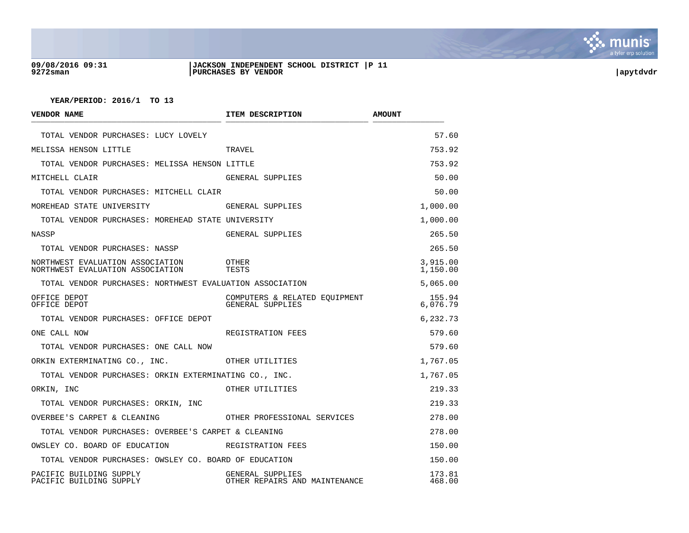

# **09/08/2016 09:31 |JACKSON INDEPENDENT SCHOOL DISTRICT |P 11 9272sman |PURCHASES BY VENDOR |apytdvdr**

| VENDOR NAME                                                          | ITEM DESCRIPTION                                  | <b>AMOUNT</b>        |
|----------------------------------------------------------------------|---------------------------------------------------|----------------------|
| TOTAL VENDOR PURCHASES: LUCY LOVELY                                  |                                                   | 57.60                |
| MELISSA HENSON LITTLE                                                | TRAVEL                                            | 753.92               |
| TOTAL VENDOR PURCHASES: MELISSA HENSON LITTLE                        |                                                   | 753.92               |
| MITCHELL CLAIR                                                       | GENERAL SUPPLIES                                  | 50.00                |
| TOTAL VENDOR PURCHASES: MITCHELL CLAIR                               |                                                   | 50.00                |
| MOREHEAD STATE UNIVERSITY                                            | GENERAL SUPPLIES                                  | 1,000.00             |
| TOTAL VENDOR PURCHASES: MOREHEAD STATE UNIVERSITY                    |                                                   | 1,000.00             |
| NASSP                                                                | GENERAL SUPPLIES                                  | 265.50               |
| TOTAL VENDOR PURCHASES: NASSP                                        |                                                   | 265.50               |
| NORTHWEST EVALUATION ASSOCIATION<br>NORTHWEST EVALUATION ASSOCIATION | OTHER<br>TESTS                                    | 3,915.00<br>1,150.00 |
| TOTAL VENDOR PURCHASES: NORTHWEST EVALUATION ASSOCIATION             |                                                   | 5,065.00             |
| OFFICE DEPOT<br>OFFICE DEPOT                                         | COMPUTERS & RELATED EQUIPMENT<br>GENERAL SUPPLIES | 155.94<br>6,076.79   |
| TOTAL VENDOR PURCHASES: OFFICE DEPOT                                 |                                                   | 6,232.73             |
| ONE CALL NOW                                                         | REGISTRATION FEES                                 | 579.60               |
| TOTAL VENDOR PURCHASES: ONE CALL NOW                                 |                                                   | 579.60               |
| ORKIN EXTERMINATING CO., INC.                                        | OTHER UTILITIES                                   | 1,767.05             |
| TOTAL VENDOR PURCHASES: ORKIN EXTERMINATING CO., INC.                |                                                   | 1,767.05             |
| ORKIN, INC                                                           | OTHER UTILITIES                                   | 219.33               |
| TOTAL VENDOR PURCHASES: ORKIN, INC                                   |                                                   | 219.33               |
| OVERBEE'S CARPET & CLEANING <b>THER PROFESSIONAL SERVICES</b>        |                                                   | 278.00               |
| TOTAL VENDOR PURCHASES: OVERBEE'S CARPET & CLEANING                  |                                                   | 278.00               |
| OWSLEY CO. BOARD OF EDUCATION                                        | REGISTRATION FEES                                 | 150.00               |
| TOTAL VENDOR PURCHASES: OWSLEY CO. BOARD OF EDUCATION                |                                                   | 150.00               |
| PACIFIC BUILDING SUPPLY<br>PACIFIC BUILDING SUPPLY                   | GENERAL SUPPLIES<br>OTHER REPAIRS AND MAINTENANCE | 173.81<br>468.00     |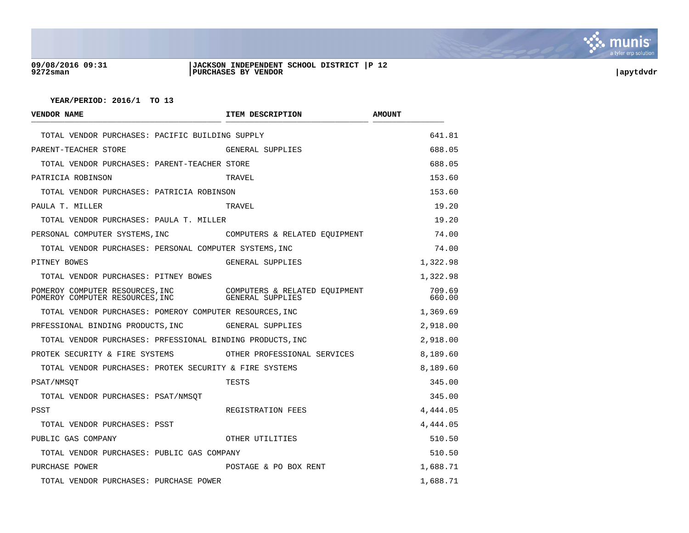

## **09/08/2016 09:31 |JACKSON INDEPENDENT SCHOOL DISTRICT |P 12 9272sman |PURCHASES BY VENDOR |apytdvdr**

| <b>VENDOR NAME</b>                                                 | ITEM DESCRIPTION                                  | <b>AMOUNT</b>    |
|--------------------------------------------------------------------|---------------------------------------------------|------------------|
| TOTAL VENDOR PURCHASES: PACIFIC BUILDING SUPPLY                    |                                                   | 641.81           |
| PARENT-TEACHER STORE                                               | GENERAL SUPPLIES                                  | 688.05           |
| TOTAL VENDOR PURCHASES: PARENT-TEACHER STORE                       |                                                   | 688.05           |
| PATRICIA ROBINSON                                                  | TRAVEL                                            | 153.60           |
| TOTAL VENDOR PURCHASES: PATRICIA ROBINSON                          |                                                   | 153.60           |
| PAULA T. MILLER                                                    | TRAVEL                                            | 19.20            |
| TOTAL VENDOR PURCHASES: PAULA T. MILLER                            |                                                   | 19.20            |
| PERSONAL COMPUTER SYSTEMS, INC                                     | COMPUTERS & RELATED EOUIPMENT                     | 74.00            |
| TOTAL VENDOR PURCHASES: PERSONAL COMPUTER SYSTEMS, INC             |                                                   | 74.00            |
| PITNEY BOWES                                                       | GENERAL SUPPLIES                                  | 1,322.98         |
| TOTAL VENDOR PURCHASES: PITNEY BOWES                               |                                                   | 1,322.98         |
| POMEROY COMPUTER RESOURCES, INC<br>POMEROY COMPUTER RESOURCES, INC | COMPUTERS & RELATED EOUIPMENT<br>GENERAL SUPPLIES | 709.69<br>660.00 |
| TOTAL VENDOR PURCHASES: POMEROY COMPUTER RESOURCES, INC            |                                                   | 1,369.69         |
| PRFESSIONAL BINDING PRODUCTS, INC                                  | GENERAL SUPPLIES                                  | 2,918.00         |
| TOTAL VENDOR PURCHASES: PRFESSIONAL BINDING PRODUCTS, INC          |                                                   | 2,918.00         |
| PROTEK SECURITY & FIRE SYSTEMS                                     | OTHER PROFESSIONAL SERVICES                       | 8,189.60         |
| TOTAL VENDOR PURCHASES: PROTEK SECURITY & FIRE SYSTEMS             |                                                   | 8,189.60         |
| PSAT/NMSOT                                                         | TESTS                                             | 345.00           |
| TOTAL VENDOR PURCHASES: PSAT/NMSOT                                 |                                                   | 345.00           |
| PSST                                                               | REGISTRATION FEES                                 | 4,444.05         |
| TOTAL VENDOR PURCHASES: PSST                                       |                                                   | 4,444.05         |
| PUBLIC GAS COMPANY                                                 | OTHER UTILITIES                                   | 510.50           |
| TOTAL VENDOR PURCHASES: PUBLIC GAS COMPANY                         |                                                   | 510.50           |
| PURCHASE POWER                                                     | POSTAGE & PO BOX RENT                             | 1,688.71         |
| TOTAL VENDOR PURCHASES: PURCHASE POWER                             |                                                   | 1,688.71         |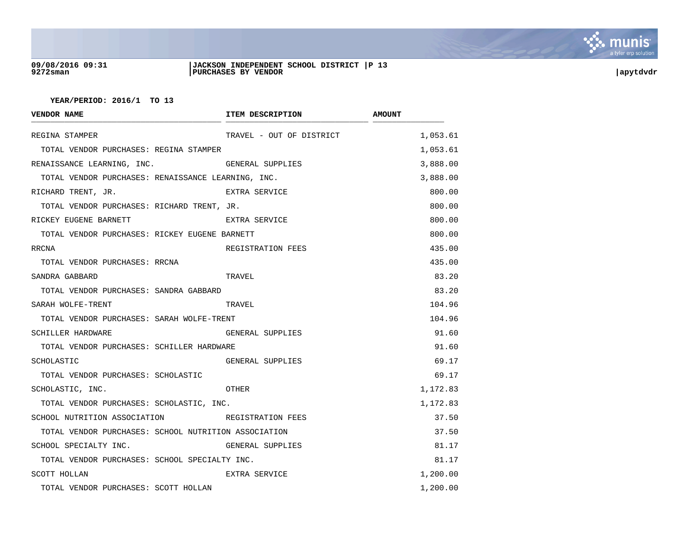

## **09/08/2016 09:31 |JACKSON INDEPENDENT SCHOOL DISTRICT |P 13 9272sman |PURCHASES BY VENDOR |apytdvdr**

| <b>VENDOR NAME</b>                                   | ITEM DESCRIPTION         | <b>AMOUNT</b> |
|------------------------------------------------------|--------------------------|---------------|
| REGINA STAMPER                                       | TRAVEL - OUT OF DISTRICT | 1,053.61      |
| TOTAL VENDOR PURCHASES: REGINA STAMPER               |                          | 1,053.61      |
| RENAISSANCE LEARNING, INC.                           | GENERAL SUPPLIES         | 3,888.00      |
| TOTAL VENDOR PURCHASES: RENAISSANCE LEARNING, INC.   |                          | 3,888.00      |
| RICHARD TRENT, JR.                                   | EXTRA SERVICE            | 800.00        |
| TOTAL VENDOR PURCHASES: RICHARD TRENT, JR.           |                          | 800.00        |
| RICKEY EUGENE BARNETT                                | EXTRA SERVICE            | 800.00        |
| TOTAL VENDOR PURCHASES: RICKEY EUGENE BARNETT        |                          | 800.00        |
| RRCNA                                                | REGISTRATION FEES        | 435.00        |
| TOTAL VENDOR PURCHASES: RRCNA                        |                          | 435.00        |
| SANDRA GABBARD                                       | TRAVEL                   | 83.20         |
| TOTAL VENDOR PURCHASES: SANDRA GABBARD               |                          | 83.20         |
| SARAH WOLFE-TRENT                                    | TRAVEL                   | 104.96        |
| TOTAL VENDOR PURCHASES: SARAH WOLFE-TRENT            |                          | 104.96        |
| SCHILLER HARDWARE                                    | GENERAL SUPPLIES         | 91.60         |
| TOTAL VENDOR PURCHASES: SCHILLER HARDWARE            |                          | 91.60         |
| SCHOLASTIC                                           | GENERAL SUPPLIES         | 69.17         |
| TOTAL VENDOR PURCHASES: SCHOLASTIC                   |                          | 69.17         |
| SCHOLASTIC, INC.                                     | OTHER                    | 1,172.83      |
| TOTAL VENDOR PURCHASES: SCHOLASTIC, INC.             |                          | 1,172.83      |
| SCHOOL NUTRITION ASSOCIATION NETRATION FEES          |                          | 37.50         |
| TOTAL VENDOR PURCHASES: SCHOOL NUTRITION ASSOCIATION |                          | 37.50         |
| SCHOOL SPECIALTY INC.                                | GENERAL SUPPLIES         | 81.17         |
| TOTAL VENDOR PURCHASES: SCHOOL SPECIALTY INC.        |                          | 81.17         |
| SCOTT HOLLAN                                         | EXTRA SERVICE            | 1,200.00      |
| TOTAL VENDOR PURCHASES: SCOTT HOLLAN                 |                          | 1,200.00      |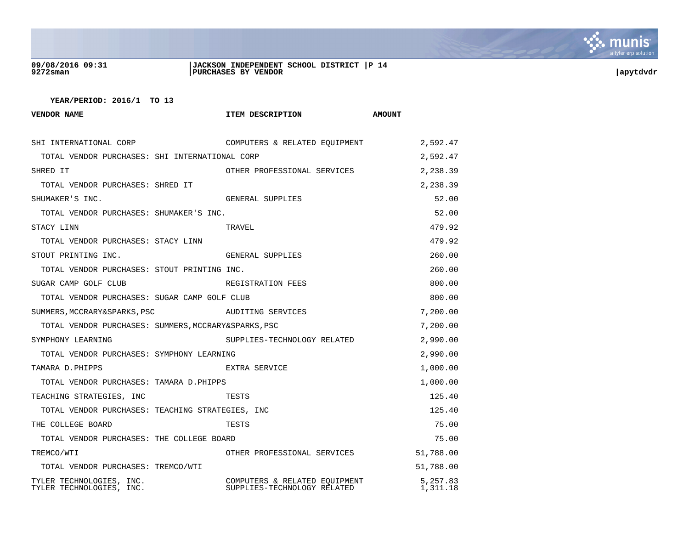

# **09/08/2016 09:31 |JACKSON INDEPENDENT SCHOOL DISTRICT |P 14 9272sman |PURCHASES BY VENDOR |apytdvdr**

| <b>VENDOR NAME</b>                                   | ITEM DESCRIPTION                                             | <b>AMOUNT</b>        |
|------------------------------------------------------|--------------------------------------------------------------|----------------------|
| SHI INTERNATIONAL CORP                               | COMPUTERS & RELATED EQUIPMENT                                | 2,592.47             |
| TOTAL VENDOR PURCHASES: SHI INTERNATIONAL CORP       |                                                              | 2,592.47             |
| SHRED IT                                             | OTHER PROFESSIONAL SERVICES                                  | 2,238.39             |
| TOTAL VENDOR PURCHASES: SHRED IT                     |                                                              | 2,238.39             |
| SHUMAKER'S INC.                                      | GENERAL SUPPLIES                                             | 52.00                |
| TOTAL VENDOR PURCHASES: SHUMAKER'S INC.              |                                                              | 52.00                |
| STACY LINN                                           | TRAVEL                                                       | 479.92               |
| TOTAL VENDOR PURCHASES: STACY LINN                   |                                                              | 479.92               |
| STOUT PRINTING INC.                                  | GENERAL SUPPLIES                                             | 260.00               |
| TOTAL VENDOR PURCHASES: STOUT PRINTING INC.          |                                                              | 260.00               |
| SUGAR CAMP GOLF CLUB                                 | REGISTRATION FEES                                            | 800.00               |
| TOTAL VENDOR PURCHASES: SUGAR CAMP GOLF CLUB         |                                                              | 800.00               |
| SUMMERS, MCCRARY&SPARKS, PSC                         | AUDITING SERVICES                                            | 7,200.00             |
| TOTAL VENDOR PURCHASES: SUMMERS, MCCRARY&SPARKS, PSC |                                                              | 7,200.00             |
| SYMPHONY LEARNING                                    | SUPPLIES-TECHNOLOGY RELATED                                  | 2,990.00             |
| TOTAL VENDOR PURCHASES: SYMPHONY LEARNING            |                                                              | 2,990.00             |
| TAMARA D.PHIPPS                                      | EXTRA SERVICE                                                | 1,000.00             |
| TOTAL VENDOR PURCHASES: TAMARA D.PHIPPS              |                                                              | 1,000.00             |
| TEACHING STRATEGIES, INC                             | TESTS                                                        | 125.40               |
| TOTAL VENDOR PURCHASES: TEACHING STRATEGIES, INC     |                                                              | 125.40               |
| THE COLLEGE BOARD                                    | TESTS                                                        | 75.00                |
| TOTAL VENDOR PURCHASES: THE COLLEGE BOARD            |                                                              | 75.00                |
| TREMCO/WTI                                           | OTHER PROFESSIONAL SERVICES                                  | 51,788.00            |
| TOTAL VENDOR PURCHASES: TREMCO/WTI                   |                                                              | 51,788.00            |
| TYLER TECHNOLOGIES, INC.<br>TYLER TECHNOLOGIES, INC. | COMPUTERS & RELATED EQUIPMENT<br>SUPPLIES-TECHNOLOGY RELATED | 5,257.83<br>1,311.18 |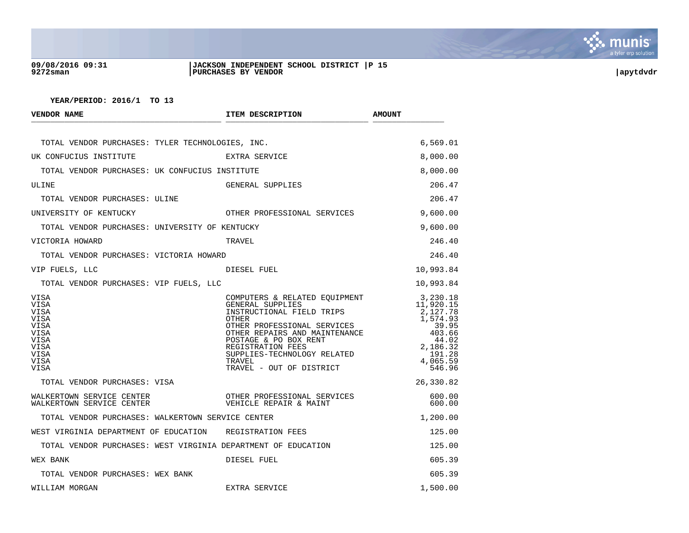

# **09/08/2016 09:31 |JACKSON INDEPENDENT SCHOOL DISTRICT |P 15 9272sman |PURCHASES BY VENDOR |apytdvdr**

| <b>VENDOR NAME</b>                                                                          | ITEM DESCRIPTION                                                                                                                                                                                                                                                                  | <b>AMOUNT</b>                                                                                                         |
|---------------------------------------------------------------------------------------------|-----------------------------------------------------------------------------------------------------------------------------------------------------------------------------------------------------------------------------------------------------------------------------------|-----------------------------------------------------------------------------------------------------------------------|
| TOTAL VENDOR PURCHASES: TYLER TECHNOLOGIES, INC.                                            |                                                                                                                                                                                                                                                                                   | 6,569.01                                                                                                              |
| UK CONFUCIUS INSTITUTE                                                                      | EXTRA SERVICE                                                                                                                                                                                                                                                                     | 8,000.00                                                                                                              |
| TOTAL VENDOR PURCHASES: UK CONFUCIUS INSTITUTE                                              |                                                                                                                                                                                                                                                                                   | 8,000.00                                                                                                              |
| ULINE                                                                                       | GENERAL SUPPLIES                                                                                                                                                                                                                                                                  | 206.47                                                                                                                |
| TOTAL VENDOR PURCHASES: ULINE                                                               |                                                                                                                                                                                                                                                                                   | 206.47                                                                                                                |
| UNIVERSITY OF KENTUCKY                                                                      | OTHER PROFESSIONAL SERVICES                                                                                                                                                                                                                                                       | 9,600.00                                                                                                              |
| TOTAL VENDOR PURCHASES: UNIVERSITY OF KENTUCKY                                              |                                                                                                                                                                                                                                                                                   | 9,600.00                                                                                                              |
| VICTORIA HOWARD                                                                             | TRAVEL                                                                                                                                                                                                                                                                            | 246.40                                                                                                                |
| TOTAL VENDOR PURCHASES: VICTORIA HOWARD                                                     |                                                                                                                                                                                                                                                                                   | 246.40                                                                                                                |
| VIP FUELS, LLC                                                                              | DIESEL FUEL                                                                                                                                                                                                                                                                       | 10,993.84                                                                                                             |
| TOTAL VENDOR PURCHASES: VIP FUELS, LLC                                                      |                                                                                                                                                                                                                                                                                   | 10,993.84                                                                                                             |
| VISA<br>VISA<br>VISA<br>VISA<br>VISA<br><b>VISA</b><br>VISA<br>VISA<br>VISA<br>VISA<br>VISA | COMPUTERS & RELATED EOUIPMENT<br>GENERAL SUPPLIES<br>INSTRUCTIONAL FIELD TRIPS<br><b>OTHER</b><br>OTHER PROFESSIONAL SERVICES<br>OTHER REPAIRS AND MAINTENANCE<br>POSTAGE & PO BOX RENT<br>REGISTRATION FEES<br>SUPPLIES-TECHNOLOGY RELATED<br>TRAVEL<br>TRAVEL - OUT OF DISTRICT | 3,230.18<br>11,920.15<br>2,127.78<br>1,574.93<br>39.95<br>403.66<br>44.02<br>2,186.32<br>191.28<br>4,065.59<br>546.96 |
| TOTAL VENDOR PURCHASES: VISA                                                                |                                                                                                                                                                                                                                                                                   | 26,330.82                                                                                                             |
| WALKERTOWN SERVICE CENTER<br>WALKERTOWN SERVICE CENTER                                      | OTHER PROFESSIONAL SERVICES<br>VEHICLE REPAIR & MAINT                                                                                                                                                                                                                             | 600.00<br>600.00                                                                                                      |
| TOTAL VENDOR PURCHASES: WALKERTOWN SERVICE CENTER                                           |                                                                                                                                                                                                                                                                                   | 1,200.00                                                                                                              |
| WEST VIRGINIA DEPARTMENT OF EDUCATION REGISTRATION FEES                                     |                                                                                                                                                                                                                                                                                   | 125.00                                                                                                                |
| TOTAL VENDOR PURCHASES: WEST VIRGINIA DEPARTMENT OF EDUCATION                               |                                                                                                                                                                                                                                                                                   | 125.00                                                                                                                |
| WEX BANK                                                                                    | DIESEL FUEL                                                                                                                                                                                                                                                                       | 605.39                                                                                                                |
| TOTAL VENDOR PURCHASES: WEX BANK                                                            |                                                                                                                                                                                                                                                                                   | 605.39                                                                                                                |
| WILLIAM MORGAN                                                                              | EXTRA SERVICE                                                                                                                                                                                                                                                                     | 1,500.00                                                                                                              |